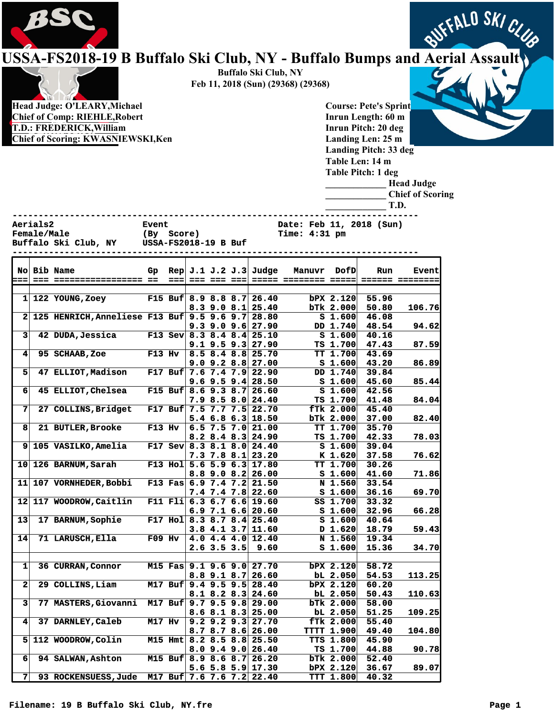

## **USSA-FS2018-19 B Buffalo Ski Club, NY - Buffalo Bumps and Aerial Assault**



**Buffalo Ski Club, NY Feb 11, 2018 (Sun) (29368) (29368)**

**Head Judge: O'LEARY,Michael Chief of Comp: RIEHLE,Robert T.D.: FREDERICK,William Chief of Scoring: KWASNIEWSKI,Ken** **Course: Pete's Sprint Inrun Length: 60 m Inrun Pitch: 20 deg Landing Len: 25 m Landing Pitch: 33 deg Table Len: 14 m**

BUFFALO SKI CLISS

|                         |                                       |                                                                                                      |                  |  |  |  |  |                                                                |                                                  |                                       | <b>Table Pitch: 1 deg</b><br><b>Head Judge</b><br><b>Chief of Scoring</b><br>T.D. |              |  |  |
|-------------------------|---------------------------------------|------------------------------------------------------------------------------------------------------|------------------|--|--|--|--|----------------------------------------------------------------|--------------------------------------------------|---------------------------------------|-----------------------------------------------------------------------------------|--------------|--|--|
|                         | <b>Aerials2</b><br><b>Female/Male</b> | (By Score)<br><b>Buffalo Ski Club, NY USSA-FS2018-19 B Buf</b>                                       | <b>Event</b>     |  |  |  |  |                                                                | Date: Feb 11, 2018 (Sun)<br><b>Time: 4:31 pm</b> |                                       |                                                                                   |              |  |  |
|                         |                                       | <b>No Bib Name</b><br>625 225 22525252525252525 22  235 256 256 256 2555 2555525 25555 25555 2555525 |                  |  |  |  |  | Gp $\left  \text{Rep} \right $ J.1 J.2 J.3 Judge               | Manuvr                                           | <b>DofD</b>                           | Run                                                                               | <b>Event</b> |  |  |
|                         |                                       | $1 122 $ YOUNG, Zoey                                                                                 |                  |  |  |  |  | F15 Buf $8.9 8.8 8.7 26.40$<br>$8.3$ 9.0 $8.1$ 25.40           |                                                  | $bpx$ 2.120<br>$b$ Tk $2.000$         | 55.96<br>50.80                                                                    | 106.76       |  |  |
|                         |                                       | 2 125 HENRICH, Anneliese F13 Buf 9.5 9.6 9.7 28.80                                                   |                  |  |  |  |  | $9.3$ $9.0$ $9.6$ $27.90$                                      |                                                  | S <sub>1.600</sub><br>DD 1.740        | 46.08<br>48.54                                                                    | 94.62        |  |  |
| $\overline{\mathbf{3}}$ |                                       | 42 DUDA, Jessica F13 Sev 8.3 8.4 8.4 25.10                                                           |                  |  |  |  |  | $9.1$ $9.5$ $9.3$ $27.90$                                      |                                                  | $S_1.600$                             | 40.16<br>$TS$ 1.700 47.43                                                         | 87.59        |  |  |
| 4                       |                                       | 95 SCHAAB, Zoe                                                                                       |                  |  |  |  |  | F13 Hv $ 8.5 8.4 8.8 25.70$<br>$9.0$ $9.2$ $8.8$ $27.00$       |                                                  | <b>TT 1.700</b><br>$S_{1.600}$        | 43.69<br>43.20                                                                    | 86.89        |  |  |
| $\overline{\mathbf{5}}$ |                                       | <b>47 ELLIOT, Madison</b>                                                                            |                  |  |  |  |  | F17 Buf $7.6$ $7.4$ $7.9$ $22.90$<br>$9.6$ $9.5$ $9.4$ $28.50$ |                                                  | DD 1.740<br>$S_1.600$                 | 39.84<br>45.60                                                                    | 85.44        |  |  |
| 6                       |                                       | <b>45 ELLIOT, Chelsea</b>                                                                            |                  |  |  |  |  | F15 Buf 8.6 9.3 8.7 26.60<br>7.98.58.024.40                    |                                                  | $TS$ 1.700                            | $S$ 1.600 42.56<br>41.48                                                          | 84.04        |  |  |
| 7                       |                                       | 27 COLLINS, Bridget                                                                                  |                  |  |  |  |  | F17 Buf 7.5 7.7 7.5 22.70<br>$5.4$ 6.8 6.3 18.50               |                                                  | fTk 2.000<br><b>bTk 2.000</b>         | 45.40<br>37.00                                                                    | 82.40        |  |  |
| $\mathbf{8}$            |                                       | <b>21 BUTLER, Brooke</b>                                                                             | $F13$ Hv $\vert$ |  |  |  |  | $6.5$ 7.5 7.0 21.00<br>$8.2$ $8.4$ $8.3$ $24.90$               |                                                  | TT 1.700<br>TS 1.700                  | 35.70<br>42.33                                                                    | 78.03        |  |  |
|                         |                                       | 9 105 VASILKO, Amelia                                                                                |                  |  |  |  |  | F17 Sev 8.3 8.1 8.0 $24.40$                                    | 7.3 7.8 8.1 23.20 K 1.620                        | $S_1.600$                             | 39.04<br>37.58                                                                    | 76.62l       |  |  |
|                         |                                       | <b>10 126 BARNUM, Sarah</b>                                                                          |                  |  |  |  |  | F13 Hol $5.6$ 5.9 6.3 17.80<br>$8.8$ 9.0 $8.2$ 26.00           |                                                  | <b>TT 1.700</b><br>S <sub>1.600</sub> | 30.26<br>41.60                                                                    | <b>71.86</b> |  |  |

11 107 VORNHEDER, Bobbi F13 Fas 6.9 7.4 7.2 21.50 N 1.560 33.54<br>7.4 7.4 7.8 22.60 S 1.600 36.16

**12 117 WOODROW,Caitlin F11 Fli 6.3 6.7 6.6 19.60 SS 1.700 33.32**

**13 17 BARNUM,Sophie F17 Hol 8.3 8.7 8.4 25.40 S 1.600 40.64**

**14 71 LARUSCH,Ella F09 Hv 4.0 4.4 4.0 12.40 N 1.560 19.34**

**1 36 CURRAN,Connor M15 Fas 9.1 9.6 9.0 27.70 bPX 2.120 58.72**

**2 29 COLLINS,Liam M17 Buf 9.4 9.5 9.5 28.40 bPX 2.120 60.20**

**3 77 MASTERS,Giovanni M17 Buf 9.7 9.5 9.8 29.00 bTk 2.000 58.00**

**4 37 DARNLEY,Caleb M17 Hv 9.2 9.2 9.3 27.70 fTk 2.000 55.40**

**6 94 SALWAN,Ashton M15 Buf 8.9 8.6 8.7 26.20 bTk 2.000 52.40**

**7 93 ROCKENSUESS,Jude M17 Buf 7.6 7.6 7.2 22.40 TTT 1.800 40.32**

**7.4 7.4 7.8 22.60 S 1.600 36.16 69.70**

**6.9 7.1 6.6 20.60 S 1.600 32.96 66.28**

**3.8 4.1 3.7 11.60 D 1.620 18.79 59.43**

**2.6 3.5 3.5 9.60 S 1.600 15.36 34.70**

**8.8 9.1 8.7 26.60 bL 2.050 54.53 113.25**

**8.1 8.2 8.3 24.60 bL 2.050 50.43 110.63**

**8.6 8.1 8.3 25.00 bL 2.050 51.25 109.25**

**8.7 8.7 8.6 26.00 TTTT 1.900 49.40 104.80**

**8.0 9.4 9.0 26.40 TS 1.700 44.88 90.78**

**5.6 5.8 5.9 17.30 bPX 2.120 36.67 89.07**

5 112 WOODROW, Colin M15 Hmt 8.2 8.5 8.8 25.50